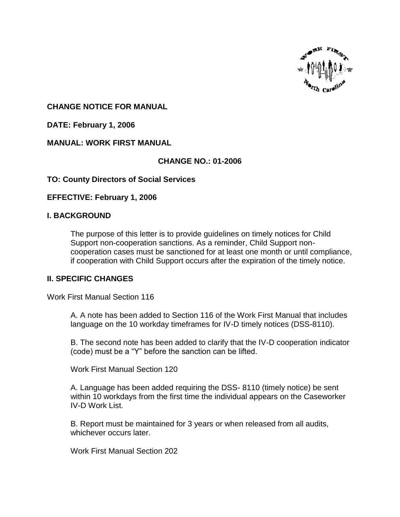

### **CHANGE NOTICE FOR MANUAL**

**DATE: February 1, 2006**

## **MANUAL: WORK FIRST MANUAL**

## **CHANGE NO.: 01-2006**

### **TO: County Directors of Social Services**

### **EFFECTIVE: February 1, 2006**

### **I. BACKGROUND**

The purpose of this letter is to provide guidelines on timely notices for Child Support non-cooperation sanctions. As a reminder, Child Support noncooperation cases must be sanctioned for at least one month or until compliance, if cooperation with Child Support occurs after the expiration of the timely notice.

### **II. SPECIFIC CHANGES**

Work First Manual Section 116

A. A note has been added to Section 116 of the Work First Manual that includes language on the 10 workday timeframes for IV-D timely notices (DSS-8110).

B. The second note has been added to clarify that the IV-D cooperation indicator (code) must be a "Y" before the sanction can be lifted.

Work First Manual Section 120

A. Language has been added requiring the DSS- 8110 (timely notice) be sent within 10 workdays from the first time the individual appears on the Caseworker IV-D Work List.

B. Report must be maintained for 3 years or when released from all audits, whichever occurs later.

Work First Manual Section 202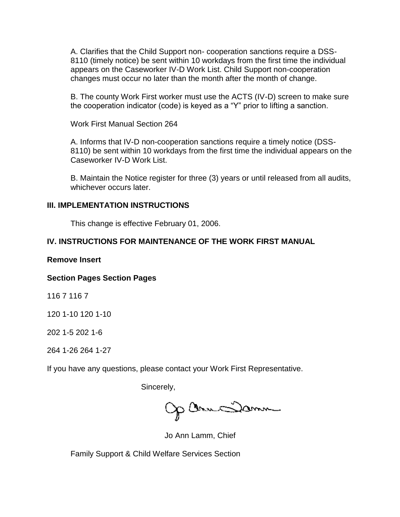A. Clarifies that the Child Support non- cooperation sanctions require a DSS-8110 (timely notice) be sent within 10 workdays from the first time the individual appears on the Caseworker IV-D Work List. Child Support non-cooperation changes must occur no later than the month after the month of change.

B. The county Work First worker must use the ACTS (IV-D) screen to make sure the cooperation indicator (code) is keyed as a "Y" prior to lifting a sanction.

Work First Manual Section 264

A. Informs that IV-D non-cooperation sanctions require a timely notice (DSS-8110) be sent within 10 workdays from the first time the individual appears on the Caseworker IV-D Work List.

B. Maintain the Notice register for three (3) years or until released from all audits, whichever occurs later.

#### **III. IMPLEMENTATION INSTRUCTIONS**

This change is effective February 01, 2006.

# **IV. INSTRUCTIONS FOR MAINTENANCE OF THE WORK FIRST MANUAL**

#### **Remove Insert**

### **Section Pages Section Pages**

116 7 116 7

120 1-10 120 1-10

202 1-5 202 1-6

264 1-26 264 1-27

If you have any questions, please contact your Work First Representative.

Sincerely,

Op Omme Samme

Jo Ann Lamm, Chief

Family Support & Child Welfare Services Section